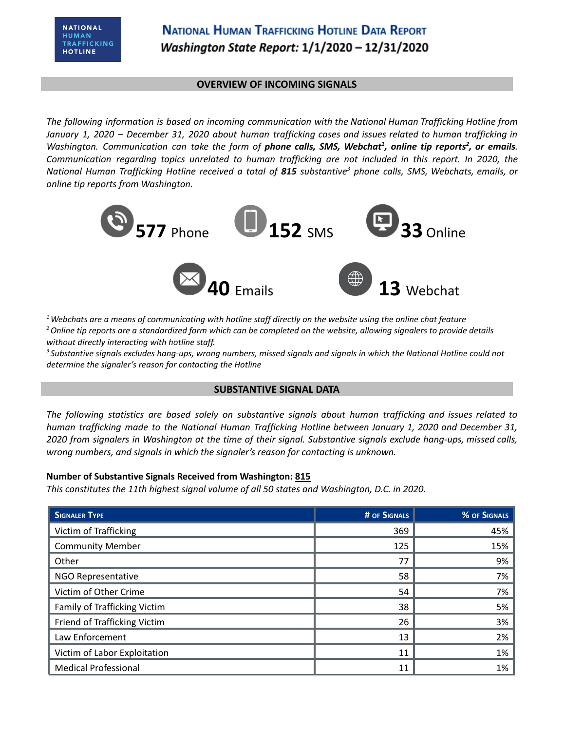#### **OVERVIEW OF INCOMING SIGNALS**

*The following information is based on incoming communication with the National Human Trafficking Hotline from* January 1, 2020 - December 31, 2020 about human trafficking cases and issues related to human trafficking in Washington. Communication can take the form of phone calls, SMS, Webchat<sup>1</sup>, online tip reports<sup>2</sup>, or emails. *Communication regarding topics unrelated to human trafficking are not included in this report. In 2020, the* National Human Trafficking Hotline received a total of 815 substantive<sup>3</sup> phone calls, SMS, Webchats, emails, or *online tip reports from Washington.*



 $1$  Webchats are a means of communicating with hotline staff directly on the website using the online chat feature <sup>2</sup> Online tip reports are a standardized form which can be completed on the website, allowing signalers to provide details *without directly interacting with hotline staff.*

<sup>3</sup> Substantive signals excludes hang-ups, wrong numbers, missed signals and signals in which the National Hotline could not *determine the signaler's reason for contacting the Hotline*

### **SUBSTANTIVE SIGNAL DATA**

*The following statistics are based solely on substantive signals about human trafficking and issues related to human trafficking made to the National Human Trafficking Hotline between January 1, 2020 and December 31,* 2020 from signalers in Washington at the time of their signal. Substantive signals exclude hang-ups, missed calls, *wrong numbers, and signals in which the signaler's reason for contacting is unknown.*

### **Number of Substantive Signals Received from Washington: 815**

*This constitutes the 11th highest signal volume of all 50 states and Washington, D.C. in 2020.*

| <b>SIGNALER TYPE</b>         | # OF SIGNALS | % OF SIGNALS |
|------------------------------|--------------|--------------|
| Victim of Trafficking        | 369          | 45%          |
| <b>Community Member</b>      | 125          | 15%          |
| Other                        | 77           | 9%           |
| NGO Representative           | 58           | 7%           |
| Victim of Other Crime        | 54           | 7%           |
| Family of Trafficking Victim | 38           | 5%           |
| Friend of Trafficking Victim | 26           | 3%           |
| Law Enforcement              | 13           | 2%           |
| Victim of Labor Exploitation | 11           | 1%           |
| <b>Medical Professional</b>  | 11           | 1%           |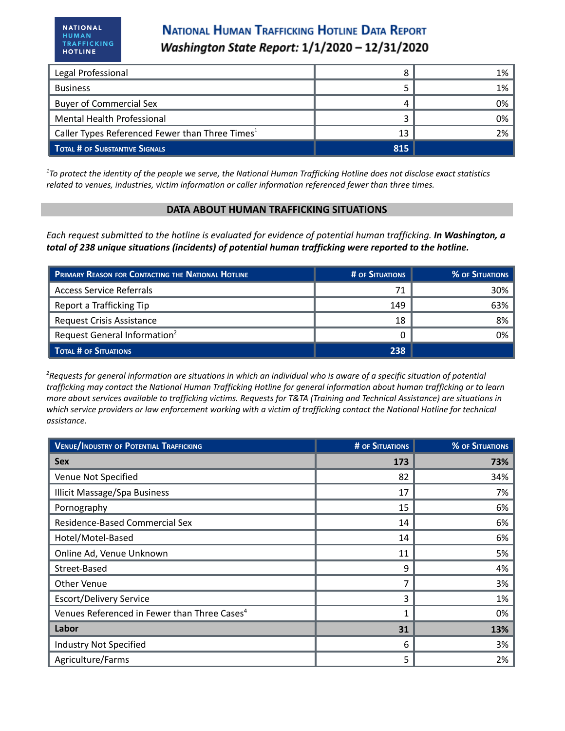# **NATIONAL HUMAN TRAFFICKING HOTLINE DATA REPORT** Washington State Report: 1/1/2020 - 12/31/2020

| Legal Professional                                          |     | 1% |
|-------------------------------------------------------------|-----|----|
| <b>Business</b>                                             |     | 1% |
| <b>Buyer of Commercial Sex</b>                              |     | 0% |
| Mental Health Professional                                  |     | 0% |
| Caller Types Referenced Fewer than Three Times <sup>1</sup> | 13  | 2% |
| TOTAL # OF SUBSTANTIVE SIGNALS                              | 815 |    |

<sup>1</sup>To protect the identity of the people we serve, the National Human Trafficking Hotline does not disclose exact statistics *related to venues, industries, victim information or caller information referenced fewer than three times.*

#### **DATA ABOUT HUMAN TRAFFICKING SITUATIONS**

Each request submitted to the hotline is evaluated for evidence of potential human trafficking. In Washington, a *total of 238 unique situations (incidents) of potential human trafficking were reported to the hotline.*

| <b>PRIMARY REASON FOR CONTACTING THE NATIONAL HOTLINE</b> | # OF SITUATIONS | <b>% OF SITUATIONS</b> |
|-----------------------------------------------------------|-----------------|------------------------|
| Access Service Referrals                                  | 71              | 30%                    |
| Report a Trafficking Tip                                  | 149             | 63%                    |
| <b>Request Crisis Assistance</b>                          | 18              | 8%                     |
| Request General Information <sup>2</sup>                  |                 | 0%                     |
| TOTAL # OF SITUATIONS                                     | 238             |                        |

<sup>2</sup>Requests for general information are situations in which an individual who is aware of a specific situation of potential trafficking may contact the National Human Trafficking Hotline for general information about human trafficking or to learn more about services available to trafficking victims. Requests for T&TA (Training and Technical Assistance) are situations in which service providers or law enforcement working with a victim of trafficking contact the National Hotline for technical *assistance.*

| <b>VENUE/INDUSTRY OF POTENTIAL TRAFFICKING</b>           | <b># OF SITUATIONS</b> | <b>% OF SITUATIONS</b> |
|----------------------------------------------------------|------------------------|------------------------|
| <b>Sex</b>                                               | 173                    | 73%                    |
| Venue Not Specified                                      | 82                     | 34%                    |
| <b>Illicit Massage/Spa Business</b>                      | 17                     | 7%                     |
| Pornography                                              | 15                     | 6%                     |
| Residence-Based Commercial Sex                           | 14                     | 6%                     |
| Hotel/Motel-Based                                        | 14                     | 6%                     |
| Online Ad, Venue Unknown                                 | 11                     | 5%                     |
| Street-Based                                             | 9                      | 4%                     |
| Other Venue                                              |                        | 3%                     |
| <b>Escort/Delivery Service</b>                           | 3                      | 1%                     |
| Venues Referenced in Fewer than Three Cases <sup>4</sup> |                        | 0%                     |
| Labor                                                    | 31                     | 13%                    |
| <b>Industry Not Specified</b>                            | 6                      | 3%                     |
| Agriculture/Farms                                        | 5                      | 2%                     |